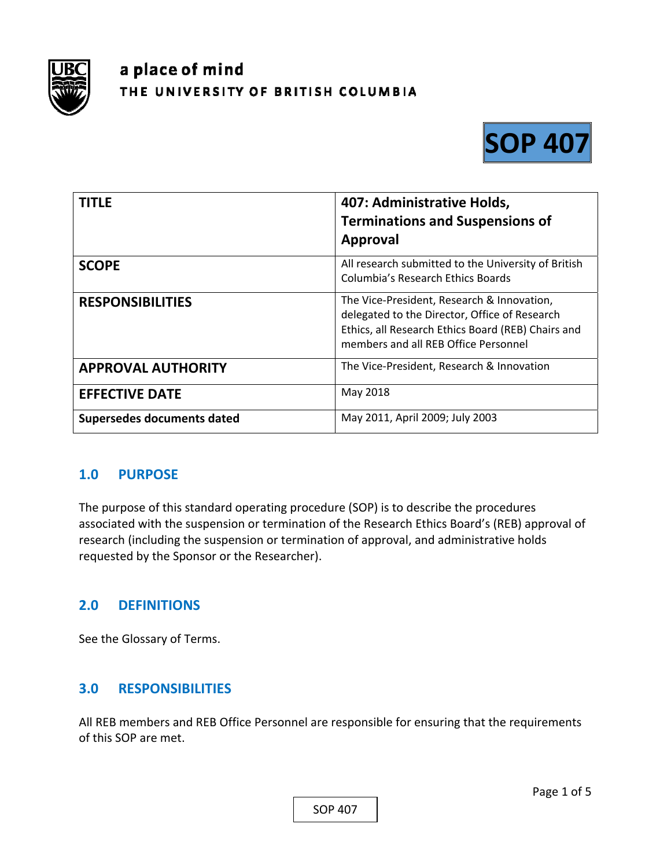

# a place of mind THE UNIVERSITY OF BRITISH COLUMBIA



| <b>TITLE</b>               | 407: Administrative Holds,<br><b>Terminations and Suspensions of</b><br>Approval                                                                                                          |
|----------------------------|-------------------------------------------------------------------------------------------------------------------------------------------------------------------------------------------|
| <b>SCOPE</b>               | All research submitted to the University of British<br>Columbia's Research Ethics Boards                                                                                                  |
| <b>RESPONSIBILITIES</b>    | The Vice-President, Research & Innovation,<br>delegated to the Director, Office of Research<br>Ethics, all Research Ethics Board (REB) Chairs and<br>members and all REB Office Personnel |
| <b>APPROVAL AUTHORITY</b>  | The Vice-President, Research & Innovation                                                                                                                                                 |
| <b>EFFECTIVE DATE</b>      | May 2018                                                                                                                                                                                  |
| Supersedes documents dated | May 2011, April 2009; July 2003                                                                                                                                                           |

# **1.0 PURPOSE**

The purpose of this standard operating procedure (SOP) is to describe the procedures associated with the suspension or termination of the Research Ethics Board's (REB) approval of research (including the suspension or termination of approval, and administrative holds requested by the Sponsor or the Researcher).

# **2.0 DEFINITIONS**

See the Glossary of Terms.

# **3.0 RESPONSIBILITIES**

All REB members and REB Office Personnel are responsible for ensuring that the requirements of this SOP are met.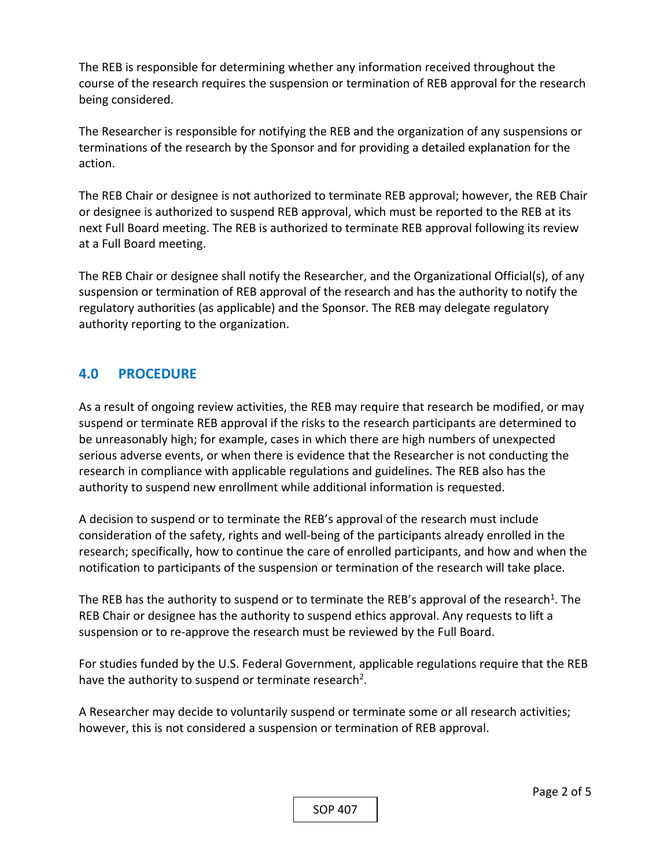The REB is responsible for determining whether any information received throughout the course of the research requires the suspension or termination of REB approval for the research being considered.

The Researcher is responsible for notifying the REB and the organization of any suspensions or terminations of the research by the Sponsor and for providing a detailed explanation for the action.

The REB Chair or designee is not authorized to terminate REB approval; however, the REB Chair or designee is authorized to suspend REB approval, which must be reported to the REB at its next Full Board meeting. The REB is authorized to terminate REB approval following its review at a Full Board meeting.

The REB Chair or designee shall notify the Researcher, and the Organizational Official(s), of any suspension or termination of REB approval of the research and has the authority to notify the regulatory authorities (as applicable) and the Sponsor. The REB may delegate regulatory authority reporting to the organization.

# **4.0 PROCEDURE**

As a result of ongoing review activities, the REB may require that research be modified, or may suspend or terminate REB approval if the risks to the research participants are determined to be unreasonably high; for example, cases in which there are high numbers of unexpected serious adverse events, or when there is evidence that the Researcher is not conducting the research in compliance with applicable regulations and guidelines. The REB also has the authority to suspend new enrollment while additional information is requested.

A decision to suspend or to terminate the REB's approval of the research must include consideration of the safety, rights and well‐being of the participants already enrolled in the research; specifically, how to continue the care of enrolled participants, and how and when the notification to participants of the suspension or termination of the research will take place.

The REB has the authority to suspend or to terminate the REB's approval of the research<sup>1</sup>. The REB Chair or designee has the authority to suspend ethics approval. Any requests to lift a suspension or to re-approve the research must be reviewed by the Full Board.

For studies funded by the U.S. Federal Government, applicable regulations require that the REB have the authority to suspend or terminate research<sup>2</sup>.

A Researcher may decide to voluntarily suspend or terminate some or all research activities; however, this is not considered a suspension or termination of REB approval.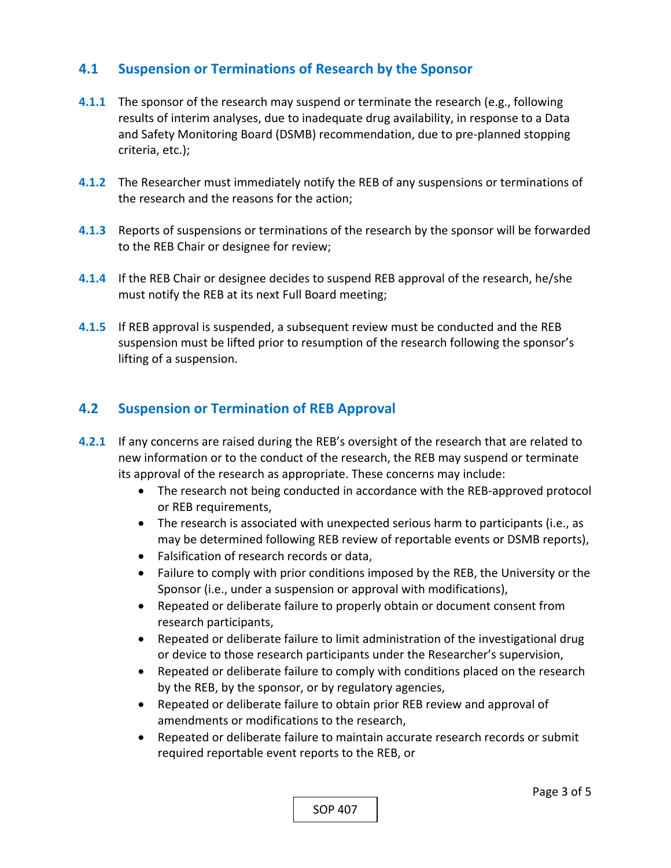# **4.1 Suspension or Terminations of Research by the Sponsor**

- **4.1.1** The sponsor of the research may suspend or terminate the research (e.g., following results of interim analyses, due to inadequate drug availability, in response to a Data and Safety Monitoring Board (DSMB) recommendation, due to pre‐planned stopping criteria, etc.);
- **4.1.2** The Researcher must immediately notify the REB of any suspensions or terminations of the research and the reasons for the action;
- **4.1.3**  Reports of suspensions or terminations of the research by the sponsor will be forwarded to the REB Chair or designee for review;
- **4.1.4**  If the REB Chair or designee decides to suspend REB approval of the research, he/she must notify the REB at its next Full Board meeting;
- **4.1.5**  If REB approval is suspended, a subsequent review must be conducted and the REB suspension must be lifted prior to resumption of the research following the sponsor's lifting of a suspension.

# **4.2 Suspension or Termination of REB Approval**

- **4.2.1** If any concerns are raised during the REB's oversight of the research that are related to new information or to the conduct of the research, the REB may suspend or terminate its approval of the research as appropriate. These concerns may include:
	- The research not being conducted in accordance with the REB-approved protocol or REB requirements,
	- The research is associated with unexpected serious harm to participants (i.e., as may be determined following REB review of reportable events or DSMB reports),
	- Falsification of research records or data.
	- Failure to comply with prior conditions imposed by the REB, the University or the Sponsor (i.e., under a suspension or approval with modifications),
	- Repeated or deliberate failure to properly obtain or document consent from research participants,
	- Repeated or deliberate failure to limit administration of the investigational drug or device to those research participants under the Researcher's supervision,
	- Repeated or deliberate failure to comply with conditions placed on the research by the REB, by the sponsor, or by regulatory agencies,
	- Repeated or deliberate failure to obtain prior REB review and approval of amendments or modifications to the research,
	- Repeated or deliberate failure to maintain accurate research records or submit required reportable event reports to the REB, or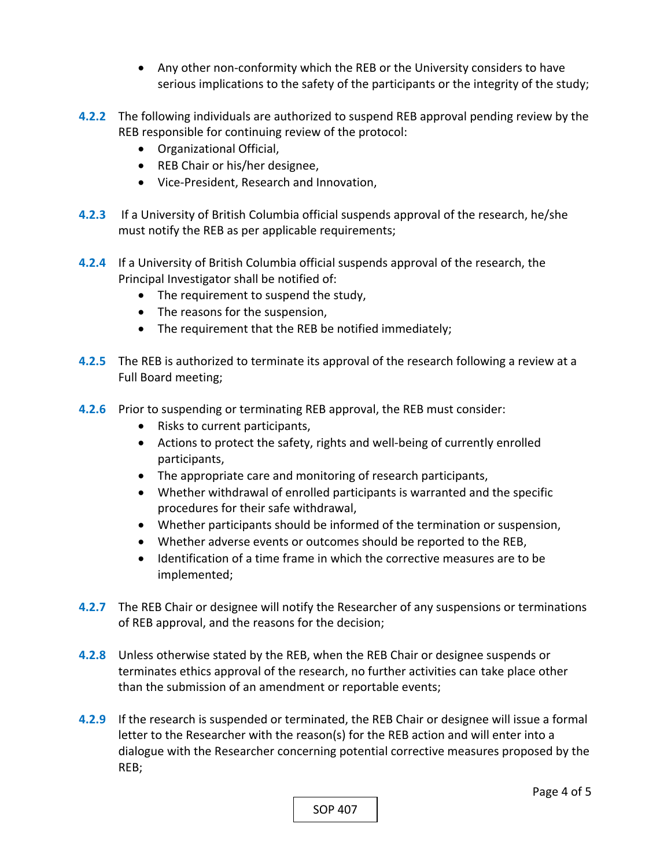- Any other non‐conformity which the REB or the University considers to have serious implications to the safety of the participants or the integrity of the study;
- **4.2.2**  The following individuals are authorized to suspend REB approval pending review by the REB responsible for continuing review of the protocol:
	- Organizational Official,
	- REB Chair or his/her designee,
	- Vice-President, Research and Innovation,
- **4.2.3**  If a University of British Columbia official suspends approval of the research, he/she must notify the REB as per applicable requirements;
- **4.2.4**  If a University of British Columbia official suspends approval of the research, the Principal Investigator shall be notified of:
	- The requirement to suspend the study,
	- The reasons for the suspension,
	- The requirement that the REB be notified immediately;
- **4.2.5**  The REB is authorized to terminate its approval of the research following a review at a Full Board meeting;
- **4.2.6**  Prior to suspending or terminating REB approval, the REB must consider:
	- Risks to current participants,
	- Actions to protect the safety, rights and well-being of currently enrolled participants,
	- The appropriate care and monitoring of research participants,
	- Whether withdrawal of enrolled participants is warranted and the specific procedures for their safe withdrawal,
	- Whether participants should be informed of the termination or suspension,
	- Whether adverse events or outcomes should be reported to the REB,
	- Identification of a time frame in which the corrective measures are to be implemented;
- **4.2.7**  The REB Chair or designee will notify the Researcher of any suspensions or terminations of REB approval, and the reasons for the decision;
- **4.2.8**  Unless otherwise stated by the REB, when the REB Chair or designee suspends or terminates ethics approval of the research, no further activities can take place other than the submission of an amendment or reportable events;
- **4.2.9**  If the research is suspended or terminated, the REB Chair or designee will issue a formal letter to the Researcher with the reason(s) for the REB action and will enter into a dialogue with the Researcher concerning potential corrective measures proposed by the REB;

SOP 407